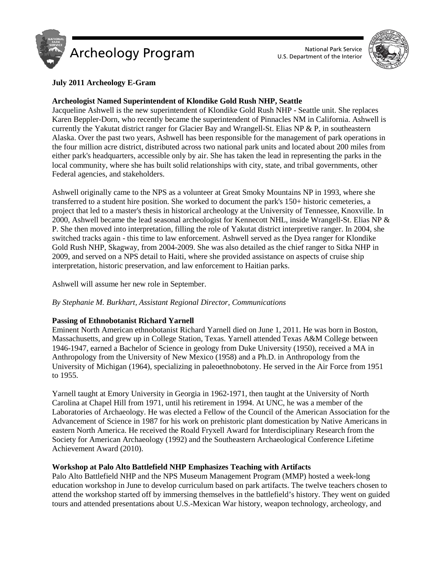



# **July 2011 Archeology E-Gram**

# **Archeologist Named Superintendent of Klondike Gold Rush NHP, Seattle**

Jacqueline Ashwell is the new superintendent of Klondike Gold Rush NHP - Seattle unit. She replaces Karen Beppler-Dorn, who recently became the superintendent of Pinnacles NM in California. Ashwell is currently the Yakutat district ranger for Glacier Bay and Wrangell-St. Elias NP & P, in southeastern Alaska. Over the past two years, Ashwell has been responsible for the management of park operations in the four million acre district, distributed across two national park units and located about 200 miles from either park's headquarters, accessible only by air. She has taken the lead in representing the parks in the local community, where she has built solid relationships with city, state, and tribal governments, other Federal agencies, and stakeholders.

Ashwell originally came to the NPS as a volunteer at Great Smoky Mountains NP in 1993, where she transferred to a student hire position. She worked to document the park's 150+ historic cemeteries, a project that led to a master's thesis in historical archeology at the University of Tennessee, Knoxville. In 2000, Ashwell became the lead seasonal archeologist for Kennecott NHL, inside Wrangell-St. Elias NP & P. She then moved into interpretation, filling the role of Yakutat district interpretive ranger. In 2004, she switched tracks again - this time to law enforcement. Ashwell served as the Dyea ranger for Klondike Gold Rush NHP, Skagway, from 2004-2009. She was also detailed as the chief ranger to Sitka NHP in 2009, and served on a NPS detail to Haiti, where she provided assistance on aspects of cruise ship interpretation, historic preservation, and law enforcement to Haitian parks.

Ashwell will assume her new role in September.

# *By Stephanie M. Burkhart, Assistant Regional Director, Communications*

# **Passing of Ethnobotanist Richard Yarnell**

Eminent North American ethnobotanist Richard Yarnell died on June 1, 2011. He was born in Boston, Massachusetts, and grew up in College Station, Texas. Yarnell attended Texas A&M College between 1946-1947, earned a Bachelor of Science in geology from Duke University (1950), received a MA in Anthropology from the University of New Mexico (1958) and a Ph.D. in Anthropology from the University of Michigan (1964), specializing in paleoethnobotony. He served in the Air Force from 1951 to 1955.

Yarnell taught at Emory University in Georgia in 1962-1971, then taught at the University of North Carolina at Chapel Hill from 1971, until his retirement in 1994. At UNC, he was a member of the Laboratories of Archaeology. He was elected a Fellow of the Council of the American Association for the Advancement of Science in 1987 for his work on prehistoric plant domestication by Native Americans in eastern North America. He received the Roald Fryxell Award for Interdisciplinary Research from the Society for American Archaeology (1992) and the Southeastern Archaeological Conference Lifetime Achievement Award (2010).

# **Workshop at Palo Alto Battlefield NHP Emphasizes Teaching with Artifacts**

Palo Alto Battlefield NHP and the NPS Museum Management Program (MMP) hosted a week-long education workshop in June to develop curriculum based on park artifacts. The twelve teachers chosen to attend the workshop started off by immersing themselves in the battlefield's history. They went on guided tours and attended presentations about U.S.-Mexican War history, weapon technology, archeology, and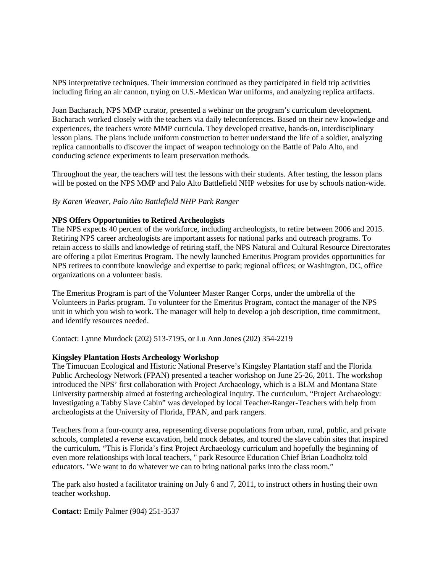NPS interpretative techniques. Their immersion continued as they participated in field trip activities including firing an air cannon, trying on U.S.-Mexican War uniforms, and analyzing replica artifacts.

Joan Bacharach, NPS MMP curator, presented a webinar on the program's curriculum development. Bacharach worked closely with the teachers via daily teleconferences. Based on their new knowledge and experiences, the teachers wrote MMP curricula. They developed creative, hands-on, interdisciplinary lesson plans. The plans include uniform construction to better understand the life of a soldier, analyzing replica cannonballs to discover the impact of weapon technology on the Battle of Palo Alto, and conducing science experiments to learn preservation methods.

Throughout the year, the teachers will test the lessons with their students. After testing, the lesson plans will be posted on the NPS MMP and Palo Alto Battlefield NHP websites for use by schools nation-wide.

*By Karen Weaver, Palo Alto Battlefield NHP Park Ranger*

## **NPS Offers Opportunities to Retired Archeologists**

The NPS expects 40 percent of the workforce, including archeologists, to retire between 2006 and 2015. Retiring NPS career archeologists are important assets for national parks and outreach programs. To retain access to skills and knowledge of retiring staff, the NPS Natural and Cultural Resource Directorates are offering a pilot Emeritus Program. The newly launched Emeritus Program provides opportunities for NPS retirees to contribute knowledge and expertise to park; regional offices; or Washington, DC, office organizations on a volunteer basis.

The Emeritus Program is part of the Volunteer Master Ranger Corps, under the umbrella of the Volunteers in Parks program. To volunteer for the Emeritus Program, contact the manager of the NPS unit in which you wish to work. The manager will help to develop a job description, time commitment, and identify resources needed.

Contact: Lynne Murdock (202) 513-7195, or Lu Ann Jones (202) 354-2219

### **Kingsley Plantation Hosts Archeology Workshop**

The Timucuan Ecological and Historic National Preserve's Kingsley Plantation staff and the Florida Public Archeology Network (FPAN) presented a teacher workshop on June 25-26, 2011. The workshop introduced the NPS' first collaboration with Project Archaeology, which is a BLM and Montana State University partnership aimed at fostering archeological inquiry. The curriculum, "Project Archaeology: Investigating a Tabby Slave Cabin" was developed by local Teacher-Ranger-Teachers with help from archeologists at the University of Florida, FPAN, and park rangers.

Teachers from a four-county area, representing diverse populations from urban, rural, public, and private schools, completed a reverse excavation, held mock debates, and toured the slave cabin sites that inspired the curriculum. "This is Florida's first Project Archaeology curriculum and hopefully the beginning of even more relationships with local teachers, " park Resource Education Chief Brian Loadholtz told educators. "We want to do whatever we can to bring national parks into the class room."

The park also hosted a facilitator training on July 6 and 7, 2011, to instruct others in hosting their own teacher workshop.

**Contact:** Emily Palmer (904) 251-3537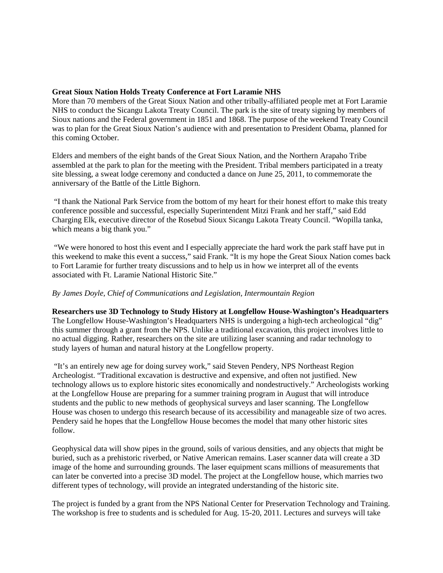# **Great Sioux Nation Holds Treaty Conference at Fort Laramie NHS**

More than 70 members of the Great Sioux Nation and other tribally-affiliated people met at Fort Laramie NHS to conduct the Sicangu Lakota Treaty Council. The park is the site of treaty signing by members of Sioux nations and the Federal government in 1851 and 1868. The purpose of the weekend Treaty Council was to plan for the Great Sioux Nation's audience with and presentation to President Obama, planned for this coming October.

Elders and members of the eight bands of the Great Sioux Nation, and the Northern Arapaho Tribe assembled at the park to plan for the meeting with the President. Tribal members participated in a treaty site blessing, a sweat lodge ceremony and conducted a dance on June 25, 2011, to commemorate the anniversary of the Battle of the Little Bighorn.

"I thank the National Park Service from the bottom of my heart for their honest effort to make this treaty conference possible and successful, especially Superintendent Mitzi Frank and her staff," said Edd Charging Elk, executive director of the Rosebud Sioux Sicangu Lakota Treaty Council. "Wopilla tanka, which means a big thank you."

"We were honored to host this event and I especially appreciate the hard work the park staff have put in this weekend to make this event a success," said Frank. "It is my hope the Great Sioux Nation comes back to Fort Laramie for further treaty discussions and to help us in how we interpret all of the events associated with Ft. Laramie National Historic Site."

# *By James Doyle, Chief of Communications and Legislation, Intermountain Region*

**Researchers use 3D Technology to Study History at Longfellow House-Washington's Headquarters** The Longfellow House-Washington's Headquarters NHS is undergoing a high-tech archeological "dig" this summer through a grant from the NPS. Unlike a traditional excavation, this project involves little to no actual digging. Rather, researchers on the site are utilizing laser scanning and radar technology to study layers of human and natural history at the Longfellow property.

"It's an entirely new age for doing survey work," said Steven Pendery, NPS Northeast Region Archeologist. "Traditional excavation is destructive and expensive, and often not justified. New technology allows us to explore historic sites economically and nondestructively." Archeologists working at the Longfellow House are preparing for a summer training program in August that will introduce students and the public to new methods of geophysical surveys and laser scanning. The Longfellow House was chosen to undergo this research because of its accessibility and manageable size of two acres. Pendery said he hopes that the Longfellow House becomes the model that many other historic sites follow.

Geophysical data will show pipes in the ground, soils of various densities, and any objects that might be buried, such as a prehistoric riverbed, or Native American remains. Laser scanner data will create a 3D image of the home and surrounding grounds. The laser equipment scans millions of measurements that can later be converted into a precise 3D model. The project at the Longfellow house, which marries two different types of technology, will provide an integrated understanding of the historic site.

The project is funded by a grant from the NPS National Center for Preservation Technology and Training. The workshop is free to students and is scheduled for Aug. 15-20, 2011. Lectures and surveys will take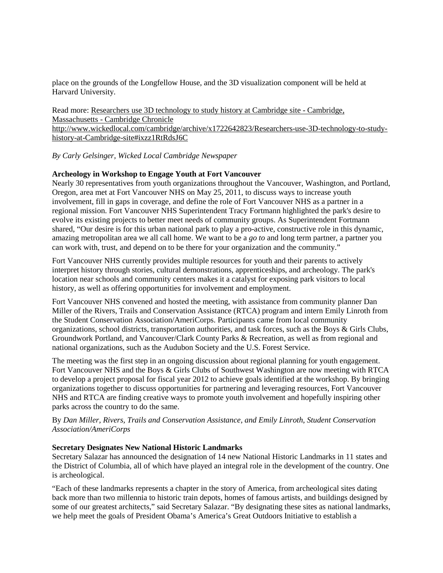place on the grounds of the Longfellow House, and the 3D visualization component will be held at Harvard University.

Read more: [Researchers use 3D technology to study history at Cambridge site -](http://www.wickedlocal.com/cambridge/archive/x1722642823/Researchers-use-3D-technology-to-study-history-at-Cambridge-siteRtRdsJ6C_) Cambridge, Massachusetts - [Cambridge Chronicle](http://www.wickedlocal.com/cambridge/archive/x1722642823/Researchers-use-3D-technology-to-study-history-at-Cambridge-siteRtRdsJ6C_) [http://www.wickedlocal.com/cambridge/archive/x1722642823/Researchers-use-3D-technology-to-study](http://www.wickedlocal.com/cambridge/archive/x1722642823/Researchers-use-3D-technology-to-study-history-at-Cambridge-siteRtRdsJ6C_)[history-at-Cambridge-site#ixzz1RtRdsJ6C](http://www.wickedlocal.com/cambridge/archive/x1722642823/Researchers-use-3D-technology-to-study-history-at-Cambridge-siteRtRdsJ6C_)

## *By Carly Gelsinger, Wicked Local Cambridge Newspaper*

### **Archeology in Workshop to Engage Youth at Fort Vancouver**

Nearly 30 representatives from youth organizations throughout the Vancouver, Washington, and Portland, Oregon, area met at Fort Vancouver NHS on May 25, 2011, to discuss ways to increase youth involvement, fill in gaps in coverage, and define the role of Fort Vancouver NHS as a partner in a regional mission. Fort Vancouver NHS Superintendent Tracy Fortmann highlighted the park's desire to evolve its existing projects to better meet needs of community groups. As Superintendent Fortmann shared, "Our desire is for this urban national park to play a pro-active, constructive role in this dynamic, amazing metropolitan area we all call home. We want to be a *go to* and long term partner, a partner you can work with, trust, and depend on to be there for your organization and the community."

Fort Vancouver NHS currently provides multiple resources for youth and their parents to actively interpret history through stories, cultural demonstrations, apprenticeships, and archeology. The park's location near schools and community centers makes it a catalyst for exposing park visitors to local history, as well as offering opportunities for involvement and employment.

Fort Vancouver NHS convened and hosted the meeting, with assistance from community planner Dan Miller of the Rivers, Trails and Conservation Assistance (RTCA) program and intern Emily Linroth from the Student Conservation Association/AmeriCorps. Participants came from local community organizations, school districts, transportation authorities, and task forces, such as the Boys & Girls Clubs, Groundwork Portland, and Vancouver/Clark County Parks & Recreation, as well as from regional and national organizations, such as the Audubon Society and the U.S. Forest Service.

The meeting was the first step in an ongoing discussion about regional planning for youth engagement. Fort Vancouver NHS and the Boys & Girls Clubs of Southwest Washington are now meeting with RTCA to develop a project proposal for fiscal year 2012 to achieve goals identified at the workshop. By bringing organizations together to discuss opportunities for partnering and leveraging resources, Fort Vancouver NHS and RTCA are finding creative ways to promote youth involvement and hopefully inspiring other parks across the country to do the same.

## By *[Dan Miller, Rivers, Trails and Conservation Assistance, and Emily Linroth](mailto:dan_miller@nps.gov_)*, *Student Conservation Association/AmeriCorps*

### **Secretary Designates New National Historic Landmarks**

Secretary Salazar has announced the designation of 14 new National Historic Landmarks in 11 states and the District of Columbia, all of which have played an integral role in the development of the country. One is archeological.

"Each of these landmarks represents a chapter in the story of America, from archeological sites dating back more than two millennia to historic train depots, homes of famous artists, and buildings designed by some of our greatest architects," said Secretary Salazar. "By designating these sites as national landmarks, we help meet the goals of President Obama's America's Great Outdoors Initiative to establish a